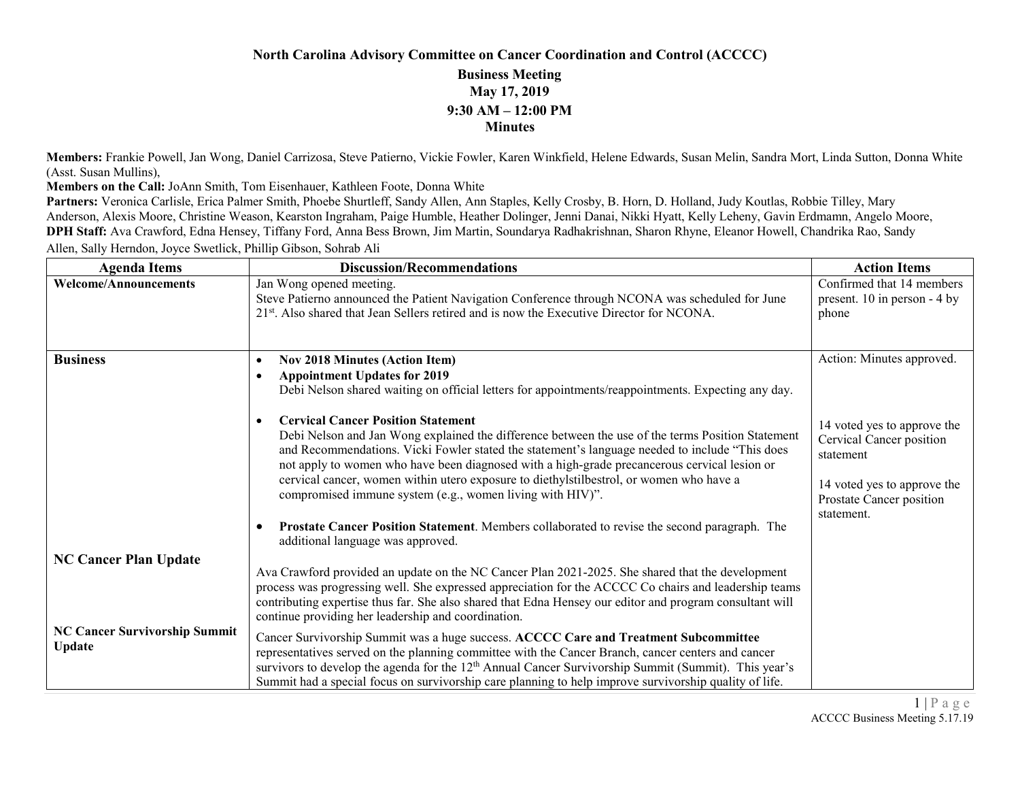### **North Carolina Advisory Committee on Cancer Coordination and Control (ACCCC)**

#### **Business Meeting May 17, 2019 9:30 AM – 12:00 PM Minutes**

**Members:** Frankie Powell, Jan Wong, Daniel Carrizosa, Steve Patierno, Vickie Fowler, Karen Winkfield, Helene Edwards, Susan Melin, Sandra Mort, Linda Sutton, Donna White (Asst. Susan Mullins),

**Members on the Call:** JoAnn Smith, Tom Eisenhauer, Kathleen Foote, Donna White

Partners: Veronica Carlisle, Erica Palmer Smith, Phoebe Shurtleff, Sandy Allen, Ann Staples, Kelly Crosby, B. Horn, D. Holland, Judy Koutlas, Robbie Tilley, Mary Anderson, Alexis Moore, Christine Weason, Kearston Ingraham, Paige Humble, Heather Dolinger, Jenni Danai, Nikki Hyatt, Kelly Leheny, Gavin Erdmamn, Angelo Moore, **DPH Staff:** Ava Crawford, Edna Hensey, Tiffany Ford, Anna Bess Brown, Jim Martin, Soundarya Radhakrishnan, Sharon Rhyne, Eleanor Howell, Chandrika Rao, Sandy Allen, Sally Herndon, Joyce Swetlick, Phillip Gibson, Sohrab Ali

| <b>Agenda Items</b>                                                            | <b>Discussion/Recommendations</b>                                                                                                                                                                                                                                                                                                                                                                                                                                                                                                                                                                                                                                                                                                                                                                                                                             | <b>Action Items</b>                                                                                                                                                        |
|--------------------------------------------------------------------------------|---------------------------------------------------------------------------------------------------------------------------------------------------------------------------------------------------------------------------------------------------------------------------------------------------------------------------------------------------------------------------------------------------------------------------------------------------------------------------------------------------------------------------------------------------------------------------------------------------------------------------------------------------------------------------------------------------------------------------------------------------------------------------------------------------------------------------------------------------------------|----------------------------------------------------------------------------------------------------------------------------------------------------------------------------|
| <b>Welcome/Announcements</b>                                                   | Jan Wong opened meeting.<br>Steve Patierno announced the Patient Navigation Conference through NCONA was scheduled for June<br>21 <sup>st</sup> . Also shared that Jean Sellers retired and is now the Executive Director for NCONA.                                                                                                                                                                                                                                                                                                                                                                                                                                                                                                                                                                                                                          | Confirmed that 14 members<br>present. 10 in person - 4 by<br>phone                                                                                                         |
| <b>Business</b>                                                                | <b>Nov 2018 Minutes (Action Item)</b><br>$\bullet$<br><b>Appointment Updates for 2019</b><br>Debi Nelson shared waiting on official letters for appointments/reappointments. Expecting any day.<br><b>Cervical Cancer Position Statement</b><br>$\bullet$<br>Debi Nelson and Jan Wong explained the difference between the use of the terms Position Statement<br>and Recommendations. Vicki Fowler stated the statement's language needed to include "This does<br>not apply to women who have been diagnosed with a high-grade precancerous cervical lesion or<br>cervical cancer, women within utero exposure to diethylstilbestrol, or women who have a<br>compromised immune system (e.g., women living with HIV)".<br>Prostate Cancer Position Statement. Members collaborated to revise the second paragraph. The<br>additional language was approved. | Action: Minutes approved.<br>14 voted yes to approve the<br>Cervical Cancer position<br>statement<br>14 voted yes to approve the<br>Prostate Cancer position<br>statement. |
| <b>NC Cancer Plan Update</b><br><b>NC Cancer Survivorship Summit</b><br>Update | Ava Crawford provided an update on the NC Cancer Plan 2021-2025. She shared that the development<br>process was progressing well. She expressed appreciation for the ACCCC Co chairs and leadership teams<br>contributing expertise thus far. She also shared that Edna Hensey our editor and program consultant will<br>continue providing her leadership and coordination.<br>Cancer Survivorship Summit was a huge success. ACCCC Care and Treatment Subcommittee<br>representatives served on the planning committee with the Cancer Branch, cancer centers and cancer<br>survivors to develop the agenda for the $12th$ Annual Cancer Survivorship Summit (Summit). This year's<br>Summit had a special focus on survivorship care planning to help improve survivorship quality of life.                                                                |                                                                                                                                                                            |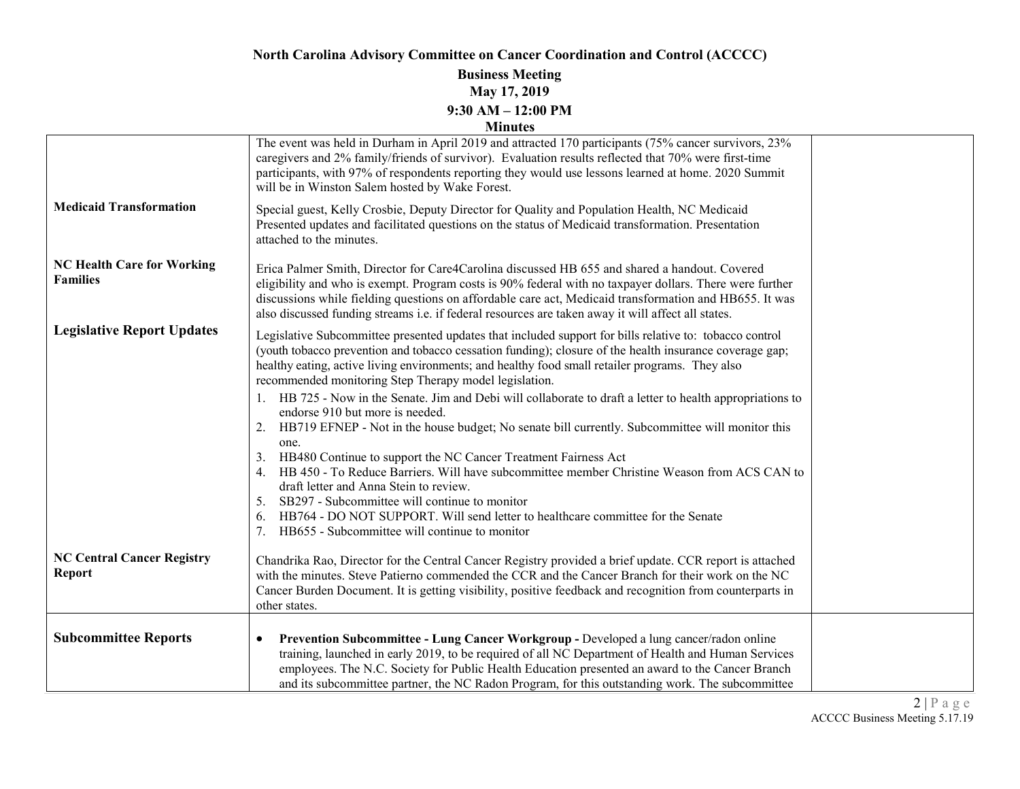# **North Carolina Advisory Committee on Cancer Coordination and Control (ACCCC)**

#### **Business Meeting May 17, 2019 9:30 AM – 12:00 PM Minutes**

|                                                      | The event was held in Durham in April 2019 and attracted 170 participants (75% cancer survivors, 23%<br>caregivers and 2% family/friends of survivor). Evaluation results reflected that 70% were first-time<br>participants, with 97% of respondents reporting they would use lessons learned at home. 2020 Summit<br>will be in Winston Salem hosted by Wake Forest.                                                    |  |
|------------------------------------------------------|---------------------------------------------------------------------------------------------------------------------------------------------------------------------------------------------------------------------------------------------------------------------------------------------------------------------------------------------------------------------------------------------------------------------------|--|
| <b>Medicaid Transformation</b>                       | Special guest, Kelly Crosbie, Deputy Director for Quality and Population Health, NC Medicaid<br>Presented updates and facilitated questions on the status of Medicaid transformation. Presentation<br>attached to the minutes.                                                                                                                                                                                            |  |
| <b>NC Health Care for Working</b><br><b>Families</b> | Erica Palmer Smith, Director for Care4Carolina discussed HB 655 and shared a handout. Covered<br>eligibility and who is exempt. Program costs is 90% federal with no taxpayer dollars. There were further<br>discussions while fielding questions on affordable care act, Medicaid transformation and HB655. It was<br>also discussed funding streams i.e. if federal resources are taken away it will affect all states. |  |
| <b>Legislative Report Updates</b>                    | Legislative Subcommittee presented updates that included support for bills relative to: tobacco control<br>(youth tobacco prevention and tobacco cessation funding); closure of the health insurance coverage gap;<br>healthy eating, active living environments; and healthy food small retailer programs. They also<br>recommended monitoring Step Therapy model legislation.                                           |  |
|                                                      | 1. HB 725 - Now in the Senate. Jim and Debi will collaborate to draft a letter to health appropriations to<br>endorse 910 but more is needed.<br>HB719 EFNEP - Not in the house budget; No senate bill currently. Subcommittee will monitor this<br>2.<br>one.                                                                                                                                                            |  |
|                                                      | HB480 Continue to support the NC Cancer Treatment Fairness Act<br>3.<br>HB 450 - To Reduce Barriers. Will have subcommittee member Christine Weason from ACS CAN to<br>draft letter and Anna Stein to review.<br>SB297 - Subcommittee will continue to monitor<br>5.<br>HB764 - DO NOT SUPPORT. Will send letter to healthcare committee for the Senate<br>6.<br>HB655 - Subcommittee will continue to monitor            |  |
| <b>NC Central Cancer Registry</b><br><b>Report</b>   | Chandrika Rao, Director for the Central Cancer Registry provided a brief update. CCR report is attached<br>with the minutes. Steve Patierno commended the CCR and the Cancer Branch for their work on the NC<br>Cancer Burden Document. It is getting visibility, positive feedback and recognition from counterparts in<br>other states.                                                                                 |  |
| <b>Subcommittee Reports</b>                          | Prevention Subcommittee - Lung Cancer Workgroup - Developed a lung cancer/radon online<br>٠<br>training, launched in early 2019, to be required of all NC Department of Health and Human Services<br>employees. The N.C. Society for Public Health Education presented an award to the Cancer Branch<br>and its subcommittee partner, the NC Radon Program, for this outstanding work. The subcommittee                   |  |